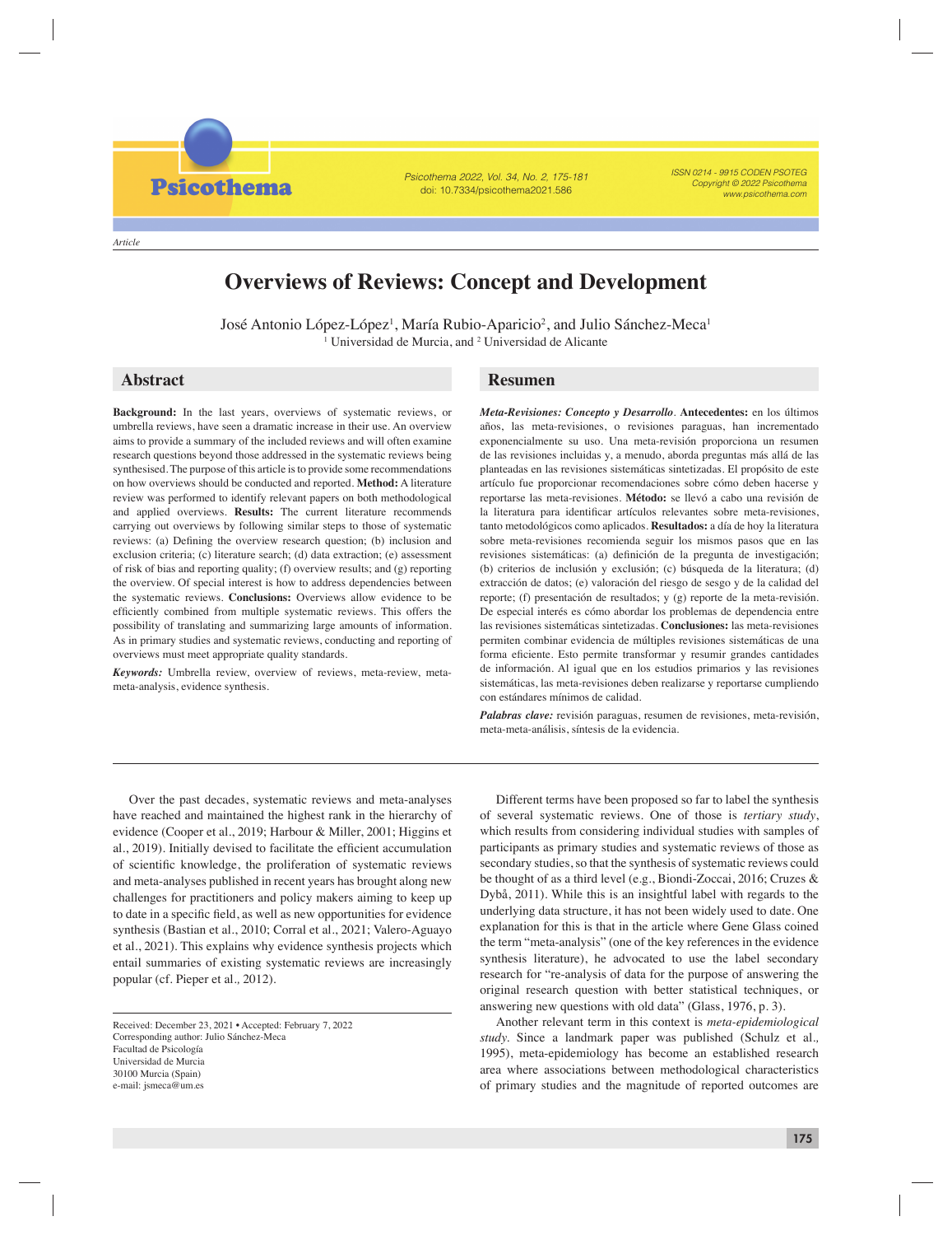*Article*

**Psicothema** 

Psicothema 2022, Vol. 34, No. 2, 175-181 doi: 10.7334/psicothema2021.586

ISSN 0214 - 9915 CODEN PSOTEG Copyright © 2022 Psicothema www.psicothema.com

# **Overviews of Reviews: Concept and Development**

José Antonio López-López<sup>1</sup>, María Rubio-Aparicio<sup>2</sup>, and Julio Sánchez-Meca<sup>1</sup> <sup>1</sup> Universidad de Murcia, and <sup>2</sup> Universidad de Alicante

**Background:** In the last years, overviews of systematic reviews, or umbrella reviews, have seen a dramatic increase in their use. An overview aims to provide a summary of the included reviews and will often examine research questions beyond those addressed in the systematic reviews being synthesised. The purpose of this article is to provide some recommendations on how overviews should be conducted and reported. **Method:** A literature review was performed to identify relevant papers on both methodological and applied overviews. **Results:** The current literature recommends carrying out overviews by following similar steps to those of systematic reviews: (a) Defining the overview research question; (b) inclusion and exclusion criteria; (c) literature search; (d) data extraction; (e) assessment of risk of bias and reporting quality; (f) overview results; and (g) reporting the overview. Of special interest is how to address dependencies between the systematic reviews. **Conclusions:** Overviews allow evidence to be efficiently combined from multiple systematic reviews. This offers the possibility of translating and summarizing large amounts of information. As in primary studies and systematic reviews, conducting and reporting of overviews must meet appropriate quality standards.

*Keywords:* Umbrella review, overview of reviews, meta-review, metameta-analysis, evidence synthesis.

# **Abstract Resumen**

*Meta-Revisiones: Concepto y Desarrollo*. **Antecedentes:** en los últimos años, las meta-revisiones, o revisiones paraguas, han incrementado exponencialmente su uso. Una meta-revisión proporciona un resumen de las revisiones incluidas y, a menudo, aborda preguntas más allá de las planteadas en las revisiones sistemáticas sintetizadas. El propósito de este artículo fue proporcionar recomendaciones sobre cómo deben hacerse y reportarse las meta-revisiones. **Método:** se llevó a cabo una revisión de la literatura para identificar artículos relevantes sobre meta-revisiones, tanto metodológicos como aplicados. **Resultados:** a día de hoy la literatura sobre meta-revisiones recomienda seguir los mismos pasos que en las revisiones sistemáticas: (a) definición de la pregunta de investigación; (b) criterios de inclusión y exclusión; (c) búsqueda de la literatura; (d) extracción de datos; (e) valoración del riesgo de sesgo y de la calidad del reporte; (f) presentación de resultados; y (g) reporte de la meta-revisión. De especial interés es cómo abordar los problemas de dependencia entre las revisiones sistemáticas sintetizadas. **Conclusiones:** las meta-revisiones permiten combinar evidencia de múltiples revisiones sistemáticas de una forma eficiente. Esto permite transformar y resumir grandes cantidades de información. Al igual que en los estudios primarios y las revisiones sistemáticas, las meta-revisiones deben realizarse y reportarse cumpliendo con estándares mínimos de calidad.

*Palabras clave:* revisión paraguas, resumen de revisiones, meta-revisión, meta-meta-análisis, síntesis de la evidencia.

Over the past decades, systematic reviews and meta-analyses have reached and maintained the highest rank in the hierarchy of evidence (Cooper et al*.*, 2019; Harbour & Miller, 2001; Higgins et al., 2019). Initially devised to facilitate the efficient accumulation of scientific knowledge, the proliferation of systematic reviews and meta-analyses published in recent years has brought along new challenges for practitioners and policy makers aiming to keep up to date in a specific field, as well as new opportunities for evidence synthesis (Bastian et al*.*, 2010; Corral et al., 2021; Valero-Aguayo et al., 2021). This explains why evidence synthesis projects which entail summaries of existing systematic reviews are increasingly popular (cf. Pieper et al*.,* 2012).

Received: December 23, 2021 • Accepted: February 7, 2022 Corresponding author: Julio Sánchez-Meca Facultad de Psicología Universidad de Murcia 30100 Murcia (Spain) e-mail: jsmeca@um.es

Different terms have been proposed so far to label the synthesis of several systematic reviews. One of those is *tertiary study*, which results from considering individual studies with samples of participants as primary studies and systematic reviews of those as secondary studies, so that the synthesis of systematic reviews could be thought of as a third level (e.g., Biondi-Zoccai, 2016; Cruzes & Dybå, 2011). While this is an insightful label with regards to the underlying data structure, it has not been widely used to date. One explanation for this is that in the article where Gene Glass coined the term "meta-analysis" (one of the key references in the evidence synthesis literature), he advocated to use the label secondary research for "re-analysis of data for the purpose of answering the original research question with better statistical techniques, or answering new questions with old data" (Glass, 1976, p. 3).

Another relevant term in this context is *meta-epidemiological study.* Since a landmark paper was published (Schulz et al*.,* 1995), meta-epidemiology has become an established research area where associations between methodological characteristics of primary studies and the magnitude of reported outcomes are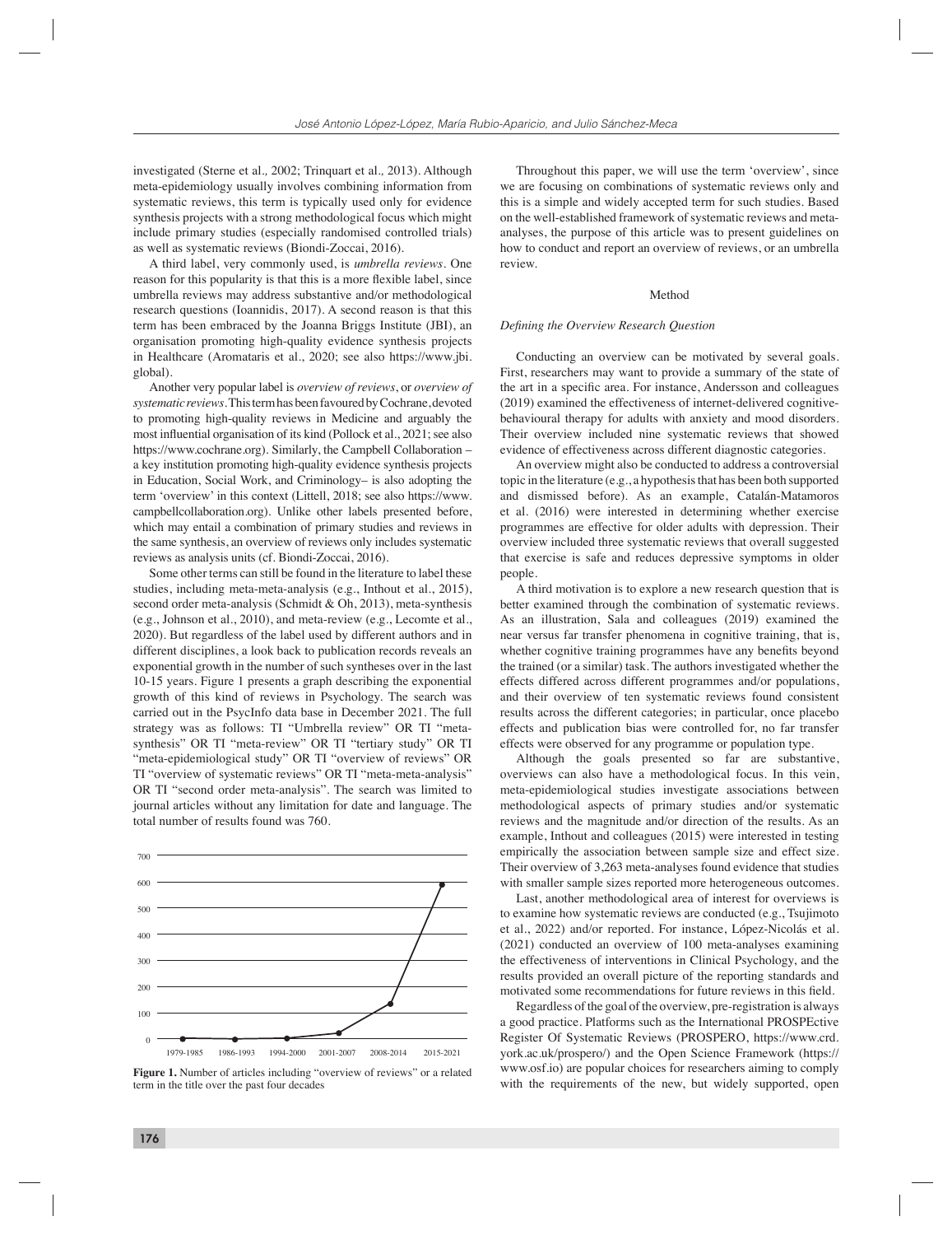investigated (Sterne et al*.,* 2002; Trinquart et al*.,* 2013). Although meta-epidemiology usually involves combining information from systematic reviews, this term is typically used only for evidence synthesis projects with a strong methodological focus which might include primary studies (especially randomised controlled trials) as well as systematic reviews (Biondi-Zoccai, 2016).

A third label, very commonly used, is *umbrella reviews*. One reason for this popularity is that this is a more flexible label, since umbrella reviews may address substantive and/or methodological research questions (Ioannidis, 2017). A second reason is that this term has been embraced by the Joanna Briggs Institute (JBI), an organisation promoting high-quality evidence synthesis projects in Healthcare (Aromataris et al., 2020; see also https://www.jbi. global).

Another very popular label is *overview of reviews*, or *overview of systematic reviews*. This term has been favoured by Cochrane, devoted to promoting high-quality reviews in Medicine and arguably the most influential organisation of its kind (Pollock et al., 2021; see also https://www.cochrane.org). Similarly, the Campbell Collaboration – a key institution promoting high-quality evidence synthesis projects in Education, Social Work, and Criminology– is also adopting the term 'overview' in this context (Littell, 2018; see also https://www. campbellcollaboration.org). Unlike other labels presented before, which may entail a combination of primary studies and reviews in the same synthesis, an overview of reviews only includes systematic reviews as analysis units (cf. Biondi-Zoccai, 2016).

Some other terms can still be found in the literature to label these studies, including meta-meta-analysis (e.g., Inthout et al., 2015), second order meta-analysis (Schmidt & Oh, 2013), meta-synthesis (e.g., Johnson et al., 2010), and meta-review (e.g., Lecomte et al., 2020). But regardless of the label used by different authors and in different disciplines, a look back to publication records reveals an exponential growth in the number of such syntheses over in the last 10-15 years. Figure 1 presents a graph describing the exponential growth of this kind of reviews in Psychology. The search was carried out in the PsycInfo data base in December 2021. The full strategy was as follows: TI "Umbrella review" OR TI "metasynthesis" OR TI "meta-review" OR TI "tertiary study" OR TI "meta-epidemiological study" OR TI "overview of reviews" OR TI "overview of systematic reviews" OR TI "meta-meta-analysis" OR TI "second order meta-analysis". The search was limited to journal articles without any limitation for date and language. The total number of results found was 760.



Figure 1. Number of articles including "overview of reviews" or a related term in the title over the past four decades

Throughout this paper, we will use the term 'overview', since we are focusing on combinations of systematic reviews only and this is a simple and widely accepted term for such studies. Based on the well-established framework of systematic reviews and metaanalyses, the purpose of this article was to present guidelines on how to conduct and report an overview of reviews, or an umbrella review.

# Method

## *Defi ning the Overview Research Question*

Conducting an overview can be motivated by several goals. First, researchers may want to provide a summary of the state of the art in a specific area. For instance, Andersson and colleagues (2019) examined the effectiveness of internet-delivered cognitivebehavioural therapy for adults with anxiety and mood disorders. Their overview included nine systematic reviews that showed evidence of effectiveness across different diagnostic categories.

An overview might also be conducted to address a controversial topic in the literature (e.g., a hypothesis that has been both supported and dismissed before). As an example, Catalán-Matamoros et al. (2016) were interested in determining whether exercise programmes are effective for older adults with depression. Their overview included three systematic reviews that overall suggested that exercise is safe and reduces depressive symptoms in older people.

A third motivation is to explore a new research question that is better examined through the combination of systematic reviews. As an illustration, Sala and colleagues (2019) examined the near versus far transfer phenomena in cognitive training, that is, whether cognitive training programmes have any benefits beyond the trained (or a similar) task. The authors investigated whether the effects differed across different programmes and/or populations, and their overview of ten systematic reviews found consistent results across the different categories; in particular, once placebo effects and publication bias were controlled for, no far transfer effects were observed for any programme or population type.

Although the goals presented so far are substantive, overviews can also have a methodological focus. In this vein, meta-epidemiological studies investigate associations between methodological aspects of primary studies and/or systematic reviews and the magnitude and/or direction of the results. As an example, Inthout and colleagues (2015) were interested in testing empirically the association between sample size and effect size. Their overview of 3,263 meta-analyses found evidence that studies with smaller sample sizes reported more heterogeneous outcomes.

Last, another methodological area of interest for overviews is to examine how systematic reviews are conducted (e.g., Tsujimoto et al., 2022) and/or reported. For instance, López-Nicolás et al. (2021) conducted an overview of 100 meta-analyses examining the effectiveness of interventions in Clinical Psychology, and the results provided an overall picture of the reporting standards and motivated some recommendations for future reviews in this field.

Regardless of the goal of the overview, pre-registration is always a good practice. Platforms such as the International PROSPEctive Register Of Systematic Reviews (PROSPERO, https://www.crd. york.ac.uk/prospero/) and the Open Science Framework (https:// www.osf.io) are popular choices for researchers aiming to comply with the requirements of the new, but widely supported, open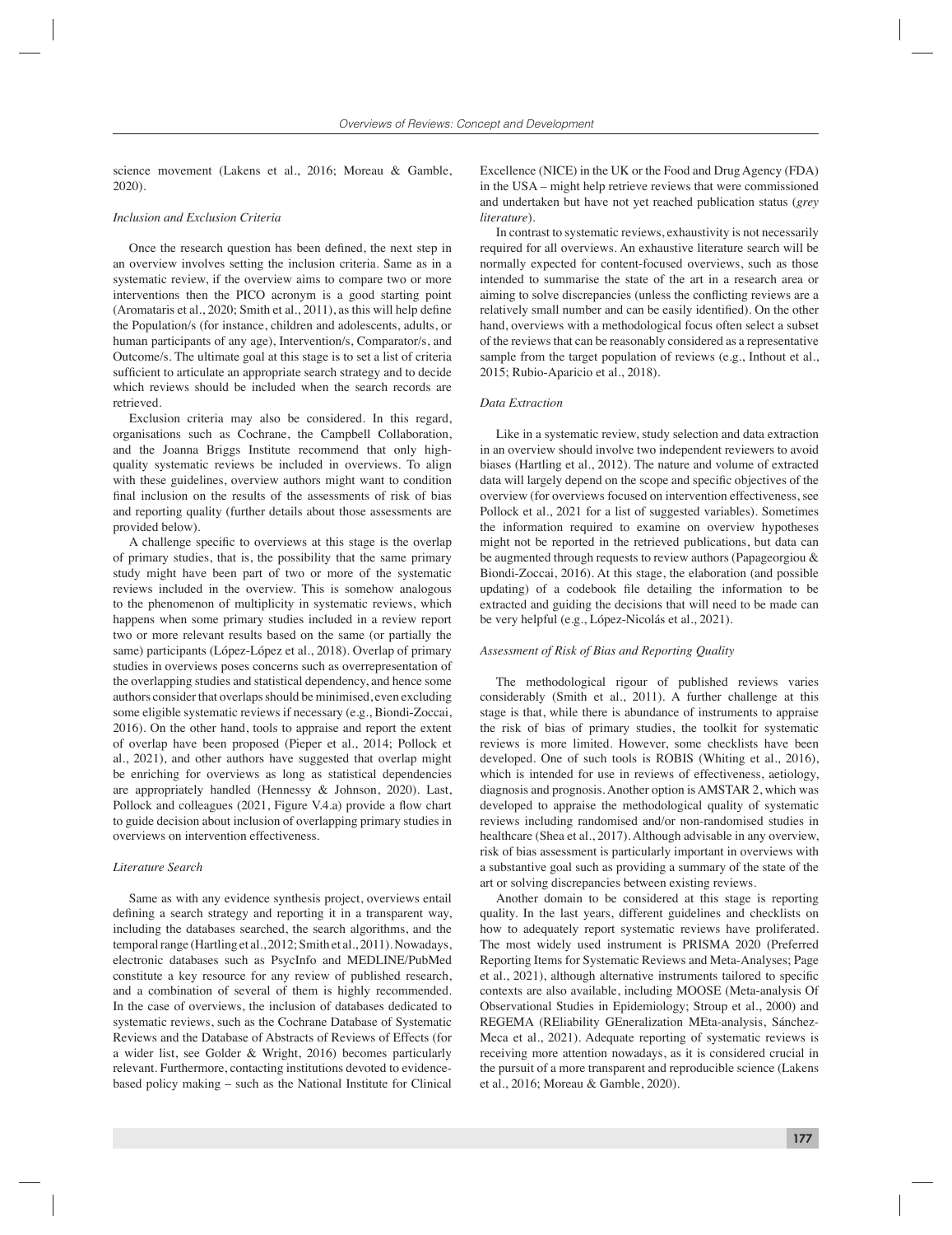science movement (Lakens et al., 2016; Moreau & Gamble, 2020).

#### *Inclusion and Exclusion Criteria*

Once the research question has been defined, the next step in an overview involves setting the inclusion criteria. Same as in a systematic review, if the overview aims to compare two or more interventions then the PICO acronym is a good starting point (Aromataris et al., 2020; Smith et al., 2011), as this will help define the Population/s (for instance, children and adolescents, adults, or human participants of any age), Intervention/s, Comparator/s, and Outcome/s. The ultimate goal at this stage is to set a list of criteria sufficient to articulate an appropriate search strategy and to decide which reviews should be included when the search records are retrieved.

Exclusion criteria may also be considered. In this regard, organisations such as Cochrane, the Campbell Collaboration, and the Joanna Briggs Institute recommend that only highquality systematic reviews be included in overviews. To align with these guidelines, overview authors might want to condition final inclusion on the results of the assessments of risk of bias and reporting quality (further details about those assessments are provided below).

A challenge specific to overviews at this stage is the overlap of primary studies, that is, the possibility that the same primary study might have been part of two or more of the systematic reviews included in the overview. This is somehow analogous to the phenomenon of multiplicity in systematic reviews, which happens when some primary studies included in a review report two or more relevant results based on the same (or partially the same) participants (López-López et al., 2018). Overlap of primary studies in overviews poses concerns such as overrepresentation of the overlapping studies and statistical dependency, and hence some authors consider that overlaps should be minimised, even excluding some eligible systematic reviews if necessary (e.g., Biondi-Zoccai, 2016). On the other hand, tools to appraise and report the extent of overlap have been proposed (Pieper et al., 2014; Pollock et al., 2021), and other authors have suggested that overlap might be enriching for overviews as long as statistical dependencies are appropriately handled (Hennessy & Johnson, 2020). Last, Pollock and colleagues (2021, Figure V.4.a) provide a flow chart to guide decision about inclusion of overlapping primary studies in overviews on intervention effectiveness.

# *Literature Search*

Same as with any evidence synthesis project, overviews entail defining a search strategy and reporting it in a transparent way, including the databases searched, the search algorithms, and the temporal range (Hartling et al., 2012; Smith et al., 2011). Nowadays, electronic databases such as PsycInfo and MEDLINE/PubMed constitute a key resource for any review of published research, and a combination of several of them is highly recommended. In the case of overviews, the inclusion of databases dedicated to systematic reviews, such as the Cochrane Database of Systematic Reviews and the Database of Abstracts of Reviews of Effects (for a wider list, see Golder & Wright, 2016) becomes particularly relevant. Furthermore, contacting institutions devoted to evidencebased policy making – such as the National Institute for Clinical Excellence (NICE) in the UK or the Food and Drug Agency (FDA) in the USA – might help retrieve reviews that were commissioned and undertaken but have not yet reached publication status (*grey literature*).

In contrast to systematic reviews, exhaustivity is not necessarily required for all overviews. An exhaustive literature search will be normally expected for content-focused overviews, such as those intended to summarise the state of the art in a research area or aiming to solve discrepancies (unless the conflicting reviews are a relatively small number and can be easily identified). On the other hand, overviews with a methodological focus often select a subset of the reviews that can be reasonably considered as a representative sample from the target population of reviews (e.g., Inthout et al., 2015; Rubio-Aparicio et al., 2018).

# *Data Extraction*

Like in a systematic review, study selection and data extraction in an overview should involve two independent reviewers to avoid biases (Hartling et al., 2012). The nature and volume of extracted data will largely depend on the scope and specific objectives of the overview (for overviews focused on intervention effectiveness, see Pollock et al., 2021 for a list of suggested variables). Sometimes the information required to examine on overview hypotheses might not be reported in the retrieved publications, but data can be augmented through requests to review authors (Papageorgiou & Biondi-Zoccai, 2016). At this stage, the elaboration (and possible updating) of a codebook file detailing the information to be extracted and guiding the decisions that will need to be made can be very helpful (e.g., López-Nicolás et al., 2021).

# *Assessment of Risk of Bias and Reporting Quality*

The methodological rigour of published reviews varies considerably (Smith et al., 2011). A further challenge at this stage is that, while there is abundance of instruments to appraise the risk of bias of primary studies, the toolkit for systematic reviews is more limited. However, some checklists have been developed. One of such tools is ROBIS (Whiting et al., 2016), which is intended for use in reviews of effectiveness, aetiology, diagnosis and prognosis. Another option is AMSTAR 2, which was developed to appraise the methodological quality of systematic reviews including randomised and/or non-randomised studies in healthcare (Shea et al., 2017). Although advisable in any overview, risk of bias assessment is particularly important in overviews with a substantive goal such as providing a summary of the state of the art or solving discrepancies between existing reviews.

Another domain to be considered at this stage is reporting quality. In the last years, different guidelines and checklists on how to adequately report systematic reviews have proliferated. The most widely used instrument is PRISMA 2020 (Preferred Reporting Items for Systematic Reviews and Meta-Analyses; Page et al., 2021), although alternative instruments tailored to specific contexts are also available, including MOOSE (Meta-analysis Of Observational Studies in Epidemiology; Stroup et al., 2000) and REGEMA (REliability GEneralization MEta-analysis, Sánchez-Meca et al., 2021). Adequate reporting of systematic reviews is receiving more attention nowadays, as it is considered crucial in the pursuit of a more transparent and reproducible science (Lakens et al., 2016; Moreau & Gamble, 2020).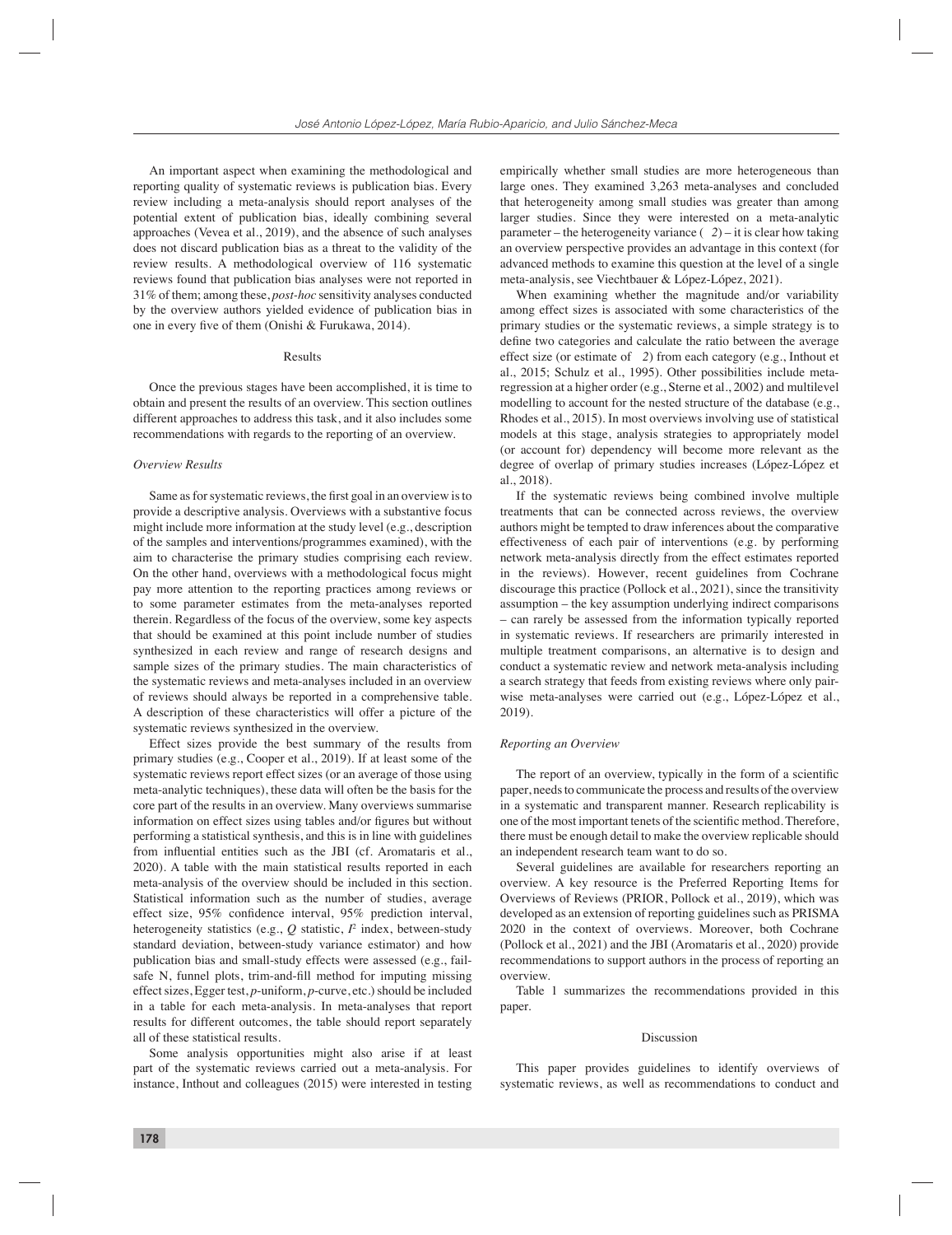An important aspect when examining the methodological and reporting quality of systematic reviews is publication bias. Every review including a meta-analysis should report analyses of the potential extent of publication bias, ideally combining several approaches (Vevea et al., 2019), and the absence of such analyses does not discard publication bias as a threat to the validity of the review results. A methodological overview of 116 systematic reviews found that publication bias analyses were not reported in 31% of them; among these, *post-hoc* sensitivity analyses conducted by the overview authors yielded evidence of publication bias in one in every five of them (Onishi & Furukawa, 2014).

# Results

Once the previous stages have been accomplished, it is time to obtain and present the results of an overview. This section outlines different approaches to address this task, and it also includes some recommendations with regards to the reporting of an overview.

# *Overview Results*

Same as for systematic reviews, the first goal in an overview is to provide a descriptive analysis. Overviews with a substantive focus might include more information at the study level (e.g., description of the samples and interventions/programmes examined), with the aim to characterise the primary studies comprising each review. On the other hand, overviews with a methodological focus might pay more attention to the reporting practices among reviews or to some parameter estimates from the meta-analyses reported therein. Regardless of the focus of the overview, some key aspects that should be examined at this point include number of studies synthesized in each review and range of research designs and sample sizes of the primary studies. The main characteristics of the systematic reviews and meta-analyses included in an overview of reviews should always be reported in a comprehensive table. A description of these characteristics will offer a picture of the systematic reviews synthesized in the overview.

Effect sizes provide the best summary of the results from primary studies (e.g., Cooper et al., 2019). If at least some of the systematic reviews report effect sizes (or an average of those using meta-analytic techniques), these data will often be the basis for the core part of the results in an overview. Many overviews summarise information on effect sizes using tables and/or figures but without performing a statistical synthesis, and this is in line with guidelines from influential entities such as the JBI (cf. Aromataris et al., 2020). A table with the main statistical results reported in each meta-analysis of the overview should be included in this section. Statistical information such as the number of studies, average effect size, 95% confidence interval, 95% prediction interval, heterogeneity statistics (e.g., *Q* statistic, *I* 2 index, between-study standard deviation, between-study variance estimator) and how publication bias and small-study effects were assessed (e.g., failsafe N, funnel plots, trim-and-fill method for imputing missing effect sizes, Egger test, *p*-uniform, *p*-curve, etc.) should be included in a table for each meta-analysis. In meta-analyses that report results for different outcomes, the table should report separately all of these statistical results.

Some analysis opportunities might also arise if at least part of the systematic reviews carried out a meta-analysis. For instance, Inthout and colleagues (2015) were interested in testing empirically whether small studies are more heterogeneous than large ones. They examined 3,263 meta-analyses and concluded that heterogeneity among small studies was greater than among larger studies. Since they were interested on a meta-analytic parameter – the heterogeneity variance (*2*) – it is clear how taking an overview perspective provides an advantage in this context (for advanced methods to examine this question at the level of a single meta-analysis, see Viechtbauer & López-López, 2021).

When examining whether the magnitude and/or variability among effect sizes is associated with some characteristics of the primary studies or the systematic reviews, a simple strategy is to define two categories and calculate the ratio between the average effect size (or estimate of *2*) from each category (e.g., Inthout et al., 2015; Schulz et al., 1995). Other possibilities include metaregression at a higher order (e.g., Sterne et al., 2002) and multilevel modelling to account for the nested structure of the database (e.g., Rhodes et al., 2015). In most overviews involving use of statistical models at this stage, analysis strategies to appropriately model (or account for) dependency will become more relevant as the degree of overlap of primary studies increases (López-López et al., 2018).

If the systematic reviews being combined involve multiple treatments that can be connected across reviews, the overview authors might be tempted to draw inferences about the comparative effectiveness of each pair of interventions (e.g. by performing network meta-analysis directly from the effect estimates reported in the reviews). However, recent guidelines from Cochrane discourage this practice (Pollock et al., 2021), since the transitivity assumption – the key assumption underlying indirect comparisons – can rarely be assessed from the information typically reported in systematic reviews. If researchers are primarily interested in multiple treatment comparisons, an alternative is to design and conduct a systematic review and network meta-analysis including a search strategy that feeds from existing reviews where only pairwise meta-analyses were carried out (e.g., López-López et al., 2019).

## *Reporting an Overview*

The report of an overview, typically in the form of a scientific paper, needs to communicate the process and results of the overview in a systematic and transparent manner. Research replicability is one of the most important tenets of the scientific method. Therefore, there must be enough detail to make the overview replicable should an independent research team want to do so.

Several guidelines are available for researchers reporting an overview. A key resource is the Preferred Reporting Items for Overviews of Reviews (PRIOR, Pollock et al., 2019), which was developed as an extension of reporting guidelines such as PRISMA 2020 in the context of overviews. Moreover, both Cochrane (Pollock et al., 2021) and the JBI (Aromataris et al., 2020) provide recommendations to support authors in the process of reporting an overview.

Table 1 summarizes the recommendations provided in this paper.

#### Discussion

This paper provides guidelines to identify overviews of systematic reviews, as well as recommendations to conduct and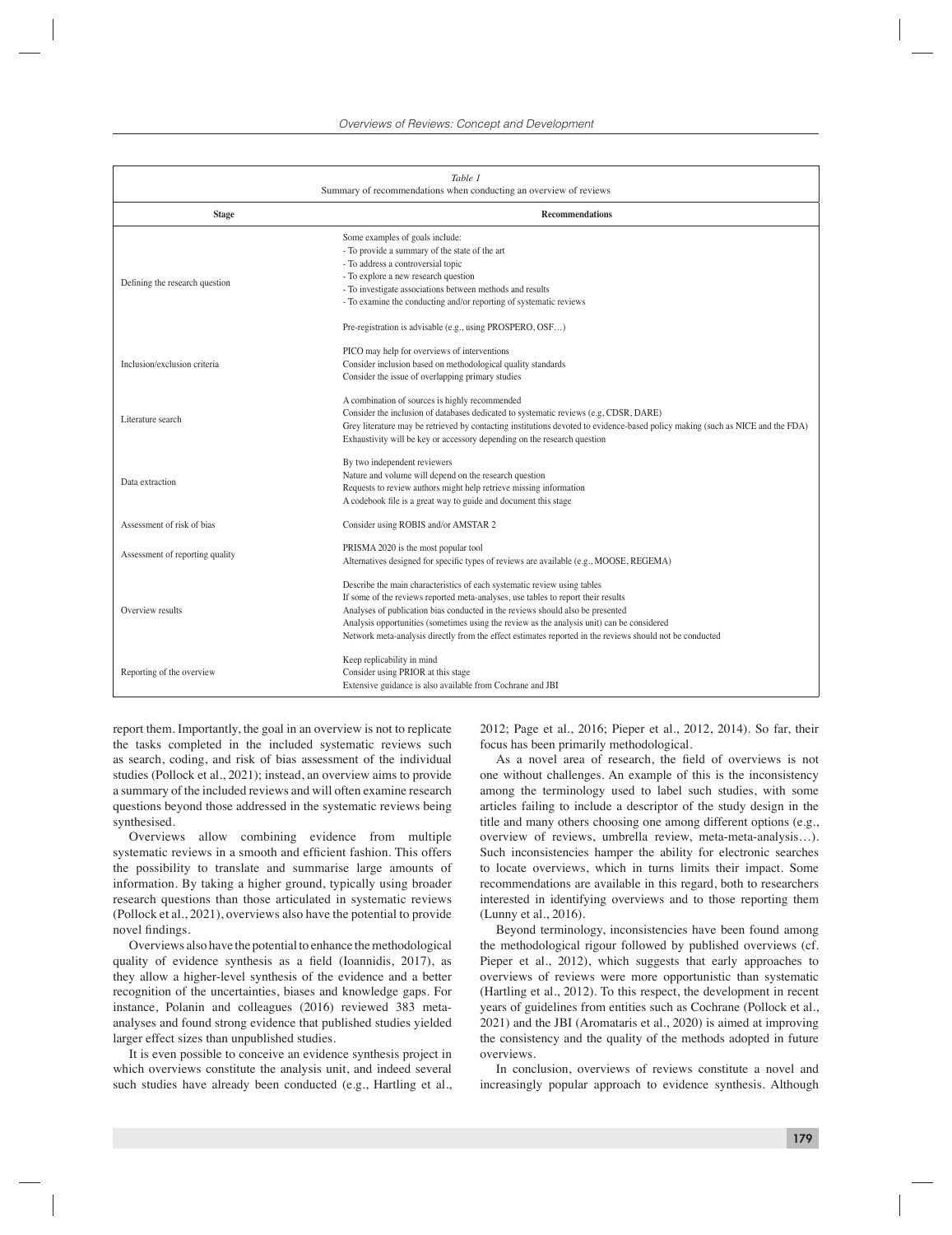| Table 1<br>Summary of recommendations when conducting an overview of reviews |                                                                                                                                                                                                                                                                                                                                                                                                                                                           |
|------------------------------------------------------------------------------|-----------------------------------------------------------------------------------------------------------------------------------------------------------------------------------------------------------------------------------------------------------------------------------------------------------------------------------------------------------------------------------------------------------------------------------------------------------|
| <b>Stage</b>                                                                 | <b>Recommendations</b>                                                                                                                                                                                                                                                                                                                                                                                                                                    |
| Defining the research question                                               | Some examples of goals include:<br>- To provide a summary of the state of the art<br>- To address a controversial topic<br>- To explore a new research question<br>- To investigate associations between methods and results<br>- To examine the conducting and/or reporting of systematic reviews<br>Pre-registration is advisable (e.g., using PROSPERO, OSF)                                                                                           |
| Inclusion/exclusion criteria                                                 | PICO may help for overviews of interventions<br>Consider inclusion based on methodological quality standards<br>Consider the issue of overlapping primary studies                                                                                                                                                                                                                                                                                         |
| Literature search                                                            | A combination of sources is highly recommended<br>Consider the inclusion of databases dedicated to systematic reviews (e.g, CDSR, DARE)<br>Grey literature may be retrieved by contacting institutions devoted to evidence-based policy making (such as NICE and the FDA)<br>Exhaustivity will be key or accessory depending on the research question                                                                                                     |
| Data extraction                                                              | By two independent reviewers<br>Nature and volume will depend on the research question<br>Requests to review authors might help retrieve missing information<br>A codebook file is a great way to guide and document this stage                                                                                                                                                                                                                           |
| Assessment of risk of bias                                                   | Consider using ROBIS and/or AMSTAR 2                                                                                                                                                                                                                                                                                                                                                                                                                      |
| Assessment of reporting quality                                              | PRISMA 2020 is the most popular tool<br>Alternatives designed for specific types of reviews are available (e.g., MOOSE, REGEMA)                                                                                                                                                                                                                                                                                                                           |
| Overview results                                                             | Describe the main characteristics of each systematic review using tables<br>If some of the reviews reported meta-analyses, use tables to report their results<br>Analyses of publication bias conducted in the reviews should also be presented<br>Analysis opportunities (sometimes using the review as the analysis unit) can be considered<br>Network meta-analysis directly from the effect estimates reported in the reviews should not be conducted |
| Reporting of the overview                                                    | Keep replicability in mind<br>Consider using PRIOR at this stage<br>Extensive guidance is also available from Cochrane and JBI                                                                                                                                                                                                                                                                                                                            |

report them. Importantly, the goal in an overview is not to replicate the tasks completed in the included systematic reviews such as search, coding, and risk of bias assessment of the individual studies (Pollock et al., 2021); instead, an overview aims to provide a summary of the included reviews and will often examine research questions beyond those addressed in the systematic reviews being synthesised.

Overviews allow combining evidence from multiple systematic reviews in a smooth and efficient fashion. This offers the possibility to translate and summarise large amounts of information. By taking a higher ground, typically using broader research questions than those articulated in systematic reviews (Pollock et al., 2021), overviews also have the potential to provide novel findings.

Overviews also have the potential to enhance the methodological quality of evidence synthesis as a field (Ioannidis, 2017), as they allow a higher-level synthesis of the evidence and a better recognition of the uncertainties, biases and knowledge gaps. For instance, Polanin and colleagues (2016) reviewed 383 metaanalyses and found strong evidence that published studies yielded larger effect sizes than unpublished studies.

It is even possible to conceive an evidence synthesis project in which overviews constitute the analysis unit, and indeed several such studies have already been conducted (e.g., Hartling et al., 2012; Page et al., 2016; Pieper et al., 2012, 2014). So far, their focus has been primarily methodological.

As a novel area of research, the field of overviews is not one without challenges. An example of this is the inconsistency among the terminology used to label such studies, with some articles failing to include a descriptor of the study design in the title and many others choosing one among different options (e.g., overview of reviews, umbrella review, meta-meta-analysis…). Such inconsistencies hamper the ability for electronic searches to locate overviews, which in turns limits their impact. Some recommendations are available in this regard, both to researchers interested in identifying overviews and to those reporting them (Lunny et al., 2016).

Beyond terminology, inconsistencies have been found among the methodological rigour followed by published overviews (cf. Pieper et al., 2012), which suggests that early approaches to overviews of reviews were more opportunistic than systematic (Hartling et al., 2012). To this respect, the development in recent years of guidelines from entities such as Cochrane (Pollock et al., 2021) and the JBI (Aromataris et al., 2020) is aimed at improving the consistency and the quality of the methods adopted in future overviews.

In conclusion, overviews of reviews constitute a novel and increasingly popular approach to evidence synthesis. Although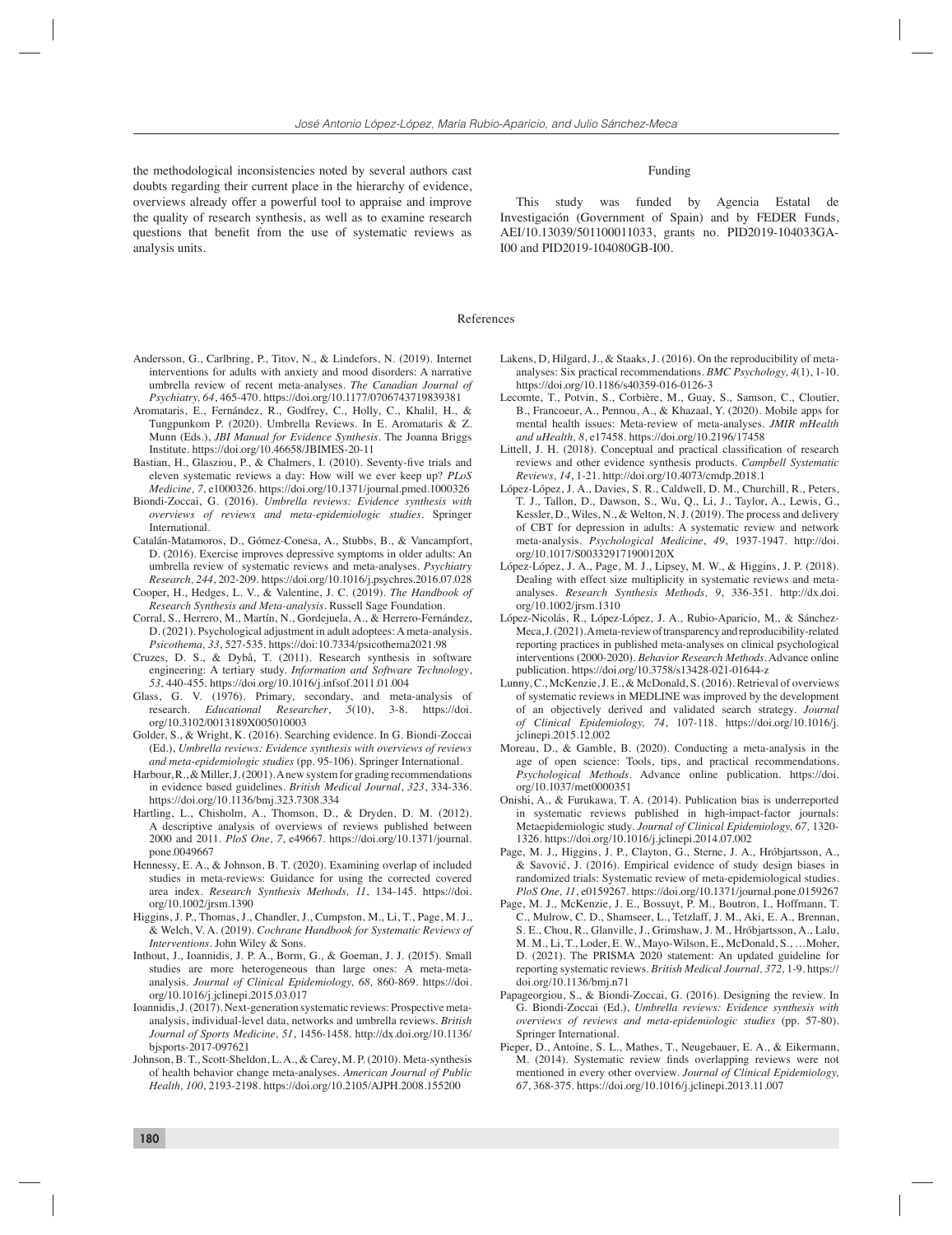the methodological inconsistencies noted by several authors cast doubts regarding their current place in the hierarchy of evidence, overviews already offer a powerful tool to appraise and improve the quality of research synthesis, as well as to examine research questions that benefit from the use of systematic reviews as analysis units.

# Funding

This study was funded by Agencia Estatal de Investigación (Government of Spain) and by FEDER Funds, AEI/10.13039/501100011033, grants no. PID2019-104033GA-I00 and PID2019-104080GB-I00.

# References

- Andersson, G., Carlbring, P., Titov, N., & Lindefors, N. (2019). Internet interventions for adults with anxiety and mood disorders: A narrative umbrella review of recent meta-analyses. *The Canadian Journal of Psychiatry, 64*, 465-470. https://doi.org/10.1177/0706743719839381
- Aromataris, E., Fernández, R., Godfrey, C., Holly, C., Khalil, H., & Tungpunkom P. (2020). Umbrella Reviews. In E. Aromataris & Z. Munn (Eds.), *JBI Manual for Evidence Synthesis.* The Joanna Briggs Institute. https://doi.org/10.46658/JBIMES-20-11
- Bastian, H., Glasziou, P., & Chalmers, I. (2010). Seventy-five trials and eleven systematic reviews a day: How will we ever keep up? *PLoS Medicine, 7*, e1000326. https://doi.org/10.1371/journal.pmed.1000326
- Biondi-Zoccai, G. (2016). *Umbrella reviews: Evidence synthesis with overviews of reviews and meta-epidemiologic studies*. Springer International.
- Catalán-Matamoros, D., Gómez-Conesa, A., Stubbs, B., & Vancampfort, D. (2016). Exercise improves depressive symptoms in older adults: An umbrella review of systematic reviews and meta-analyses. *Psychiatry Research, 244*, 202-209. https://doi.org/10.1016/j.psychres.2016.07.028
- Cooper, H., Hedges, L. V., & Valentine, J. C. (2019). *The Handbook of Research Synthesis and Meta-analysis*. Russell Sage Foundation.
- Corral, S., Herrero, M., Martín, N., Gordejuela, A., & Herrero-Fernández, D. (2021). Psychological adjustment in adult adoptees: A meta-analysis. *Psicothema, 33*, 527-535. https://doi:10.7334/psicothema2021.98
- Cruzes, D. S., & Dybå, T. (2011). Research synthesis in software engineering: A tertiary study. *Information and Software Technology*, *53*, 440-455. https://doi.org/10.1016/j.infsof.2011.01.004
- Glass, G. V. (1976). Primary, secondary, and meta-analysis of research. *Educational Researcher*, *5*(10), 3-8. https://doi. org/10.3102/0013189X005010003
- Golder, S., & Wright, K. (2016). Searching evidence. In G. Biondi-Zoccai (Ed.), *Umbrella reviews: Evidence synthesis with overviews of reviews and meta-epidemiologic studies* (pp. 95-106). Springer International.
- Harbour, R., & Miller, J. (2001). A new system for grading recommendations in evidence based guidelines. *British Medical Journal*, *323*, 334-336. https://doi.org/10.1136/bmj.323.7308.334
- Hartling, L., Chisholm, A., Thomson, D., & Dryden, D. M. (2012). A descriptive analysis of overviews of reviews published between 2000 and 2011*. PloS One, 7*, e49667. https://doi.org/10.1371/journal. pone.0049667
- Hennessy, E. A., & Johnson, B. T. (2020). Examining overlap of included studies in meta-reviews: Guidance for using the corrected covered area index. *Research Synthesis Methods, 11*, 134-145. https://doi. org/10.1002/jrsm.1390
- Higgins, J. P., Thomas, J., Chandler, J., Cumpston, M., Li, T., Page, M. J., & Welch, V. A. (2019). *Cochrane Handbook for Systematic Reviews of Interventions*. John Wiley & Sons.
- Inthout, J., Ioannidis, J. P. A., Borm, G., & Goeman, J. J. (2015). Small studies are more heterogeneous than large ones: A meta-metaanalysis. *Journal of Clinical Epidemiology, 68,* 860-869. https://doi. org/10.1016/j.jclinepi.2015.03.017
- Ioannidis, J. (2017). Next-generation systematic reviews: Prospective metaanalysis, individual-level data, networks and umbrella reviews. *British Journal of Sports Medicine, 51*, 1456-1458. http://dx.doi.org/10.1136/ bjsports-2017-097621
- Johnson, B. T., Scott-Sheldon, L. A., & Carey, M. P. (2010). Meta-synthesis of health behavior change meta-analyses. *American Journal of Public Health, 100*, 2193-2198. https://doi.org/10.2105/AJPH.2008.155200
- Lakens, D, Hilgard, J., & Staaks, J. (2016). On the reproducibility of metaanalyses: Six practical recommendations. *BMC Psychology, 4*(1), 1-10. https://doi.org/10.1186/s40359-016-0126-3
- Lecomte, T., Potvin, S., Corbière, M., Guay, S., Samson, C., Cloutier, B., Francoeur, A., Pennou, A., & Khazaal, Y. (2020). Mobile apps for mental health issues: Meta-review of meta-analyses. *JMIR mHealth and uHealth, 8*, e17458. https://doi.org/10.2196/17458
- Littell, J. H. (2018). Conceptual and practical classification of research reviews and other evidence synthesis products. *Campbell Systematic Reviews, 14*, 1-21. http://doi.org/10.4073/cmdp.2018.1
- López-López, J. A., Davies, S. R., Caldwell, D. M., Churchill, R., Peters, T. J., Tallon, D., Dawson, S., Wu, Q., Li, J., Taylor, A., Lewis, G., Kessler, D., Wiles, N., & Welton, N. J. (2019). The process and delivery of CBT for depression in adults: A systematic review and network meta-analysis. *Psychological Medicine*, *49*, 1937-1947. http://doi. org/10.1017/S003329171900120X
- López-López, J. A., Page, M. J., Lipsey, M. W., & Higgins, J. P. (2018). Dealing with effect size multiplicity in systematic reviews and metaanalyses. *Research Synthesis Methods, 9*, 336-351. http://dx.doi. org/10.1002/jrsm.1310
- López-Nicolás, R., López-López, J. A., Rubio-Aparicio, M., & Sánchez-Meca, J. (2021). A meta-review of transparency and reproducibility-related reporting practices in published meta-analyses on clinical psychological interventions (2000-2020). *Behavior Research Methods*. Advance online publication. https://doi.org/10.3758/s13428-021-01644-z
- Lunny, C., McKenzie, J. E., & McDonald, S. (2016). Retrieval of overviews of systematic reviews in MEDLINE was improved by the development of an objectively derived and validated search strategy. *Journal of Clinical Epidemiology, 74*, 107-118. https://doi.org/10.1016/j. jclinepi.2015.12.002
- Moreau, D., & Gamble, B. (2020). Conducting a meta-analysis in the age of open science: Tools, tips, and practical recommendations. *Psychological Methods*. Advance online publication. https://doi. org/10.1037/met0000351
- Onishi, A., & Furukawa, T. A. (2014). Publication bias is underreported in systematic reviews published in high-impact-factor journals: Metaepidemiologic study. *Journal of Clinical Epidemiology, 67,* 1320- 1326. https://doi.org/10.1016/j.jclinepi.2014.07.002
- Page, M. J., Higgins, J. P., Clayton, G., Sterne, J. A., Hróbjartsson, A., & Savović, J. (2016). Empirical evidence of study design biases in randomized trials: Systematic review of meta-epidemiological studies. *PloS One, 11*, e0159267. https://doi.org/10.1371/journal.pone.0159267
- Page, M. J., McKenzie, J. E., Bossuyt, P. M., Boutron, I., Hoffmann, T. C., Mulrow, C. D., Shamseer, L., Tetzlaff, J. M., Aki, E. A., Brennan, S. E., Chou, R., Glanville, J., Grimshaw, J. M., Hróbjartsson, A., Lalu, M. M., Li, T., Loder, E. W., Mayo-Wilson, E., McDonald, S., …Moher, D. (2021). The PRISMA 2020 statement: An updated guideline for reporting systematic reviews. *British Medical Journal, 372,* 1-9. https:// doi.org/10.1136/bmj.n71
- Papageorgiou, S., & Biondi-Zoccai, G. (2016). Designing the review. In G. Biondi-Zoccai (Ed.), *Umbrella reviews: Evidence synthesis with overviews of reviews and meta-epidemiologic studies* (pp. 57-80). Springer International.
- Pieper, D., Antoine, S. L., Mathes, T., Neugebauer, E. A., & Eikermann, M. (2014). Systematic review finds overlapping reviews were not mentioned in every other overview. *Journal of Clinical Epidemiology, 67*, 368-375. https://doi.org/10.1016/j.jclinepi.2013.11.007